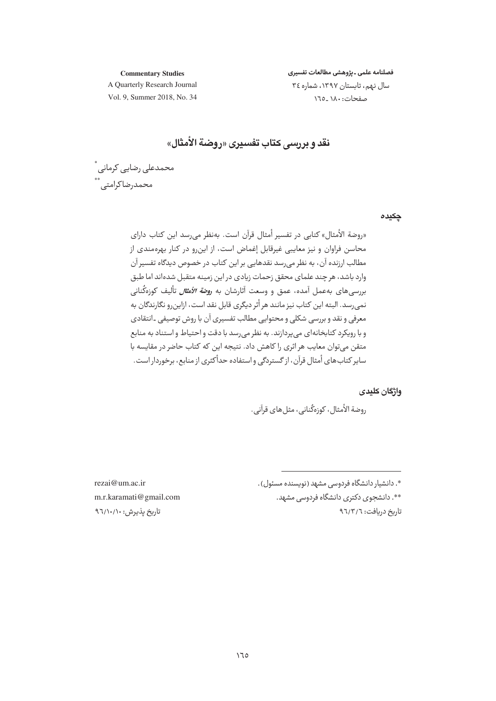**Commentary Studies** 

فصلنامه علمى ـ يژوهشى مطالعات تفسيرى سال نهم، تابستان ١٣٩٧، شماره ٣٤

صفحات: ١٨٠\_١٦٥

A Quarterly Research Journal Vol. 9, Summer 2018, No. 34

نقد و بررسي كتاب تفسيري «روضة الأمثال»

محمدعلى رضايي كرماني أ محمدرضاکرامتی ، \*\*

جكيده

«روضة الأمثال» كتابي در تفسير أمثال قرآن است. بهنظر مي رسد اين كتاب داراي محاسن فراوان و نیز معایبی غیرقابل إغماض است، از این,رو در کنار بهرهمندی از مطالب ارزنده آن، به نظر می رسد نقدهایی بر این کتاب در خصوص دیدگاه تفسیر آن وارد باشد، هر چند علمای محقق زحمات زیادی در این زمینه متقبل شدهاند اما طبق بررسیهای بهعمل آمده، عمق و وسعت آثارشان به *روضة الأمثال* تألیف کوزهگنانی نمي,رسد. البته اين كتاب نيز مانند هر أثر ديگري قابل نقد است، ازاين,رو نگارندگان به .<br>معرفی و نقد و بررسی شکلی و محتوایی مطالب تفسیری آن با روش توصیفی ـ انتقادی و با رویکرد کتابخانهای می پردازند. به نظر می رسد با دقت و احتیاط و استناد به منابع متقن می توان معایب هر اثری را کاهش داد. نتیجه این که کتاب حاضر در مقایسه با سایر کتابهای أمثال قرآن، از گستردگی و استفاده حدأکثری از منابع، برخوردار است.

واژگان کلیدی

روضة الأمثال، كوزەڭنانى، مثل هاي قرآنى.

rezai@um.ac.ir m.r.karamati@gmail.com تاریخ یذیرش: ۹٦/۱۰/۱۰

\*. دانشیار دانشگاه فردوسی مشهد (نویسنده مسئول). \*\*. دانشجوی دکتری دانشگاه فردوسی مشهد. تاریخ دریافت: ۹٦/٣/٦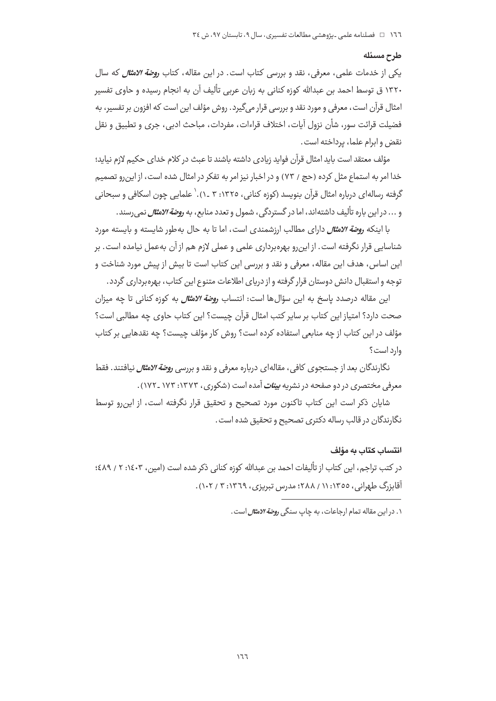#### طرح مسئله

یکی از خدمات علمی، معرفی، نقد و بررسی کتاب است. در این مقاله، کتاب *روضة الامثال* که سال ۱۳۲۰ ق توسط احمد بن عبدالله کوزه کنانی به زبان عربی تألیف آن به انجام رسیده و حاوی تفسیر امثال قرآن است، معرفی و مورد نقد و بررسی قرار می گیرد. روش مؤلف این است که افزون بر تفسیر، به فضيلت قرائت سور، شأن نزول آيات، اختلاف قراءات، مفردات، مباحث ادبی، جری و تطبيق و نقل نقض وابرام علما، برداخته است.

مؤلف معتقد است بايد امثال قرآن فوايد زيادي داشته باشند تا عبث در كلام خداي حكيم لازم نيايد؛ خدا امر به استماع مثل کرده (حج / ٧٣) و در اخبار نیز امر به تفکر در امثال شده است، از این رو تصمیم گرفته رسالهای درباره امثال قرآن بنویسد (کوزه کنانی، ۱۳۲۵: ۳ ـ ۱).` علمایی چون اسکافی و سبحانی و ... در این باره تألیف داشتهاند، اما در گستردگی، شمول و تعدد منابع، به *روضة الامثال* نمی رسند.

با اینکه ر*وضة الامثال* دارای مطالب ارزشمندی است، اما تا به حال به طور شایسته و بایسته مورد شناسایی قرار نگرفته است. از این٫رو بهرهبرداری علمی و عملی لازم هم از آن بهعمل نیامده است. بر این اساس، هدف این مقاله، معرفی و نقد و بررسی این کتاب است تا بیش از پیش مورد شناخت و توجه و استقبال دانش دوستان قرار گرفته و از دریای اطلاعات متنوع این کتاب، بهرهبرداری گردد.

این مقاله درصدد پاسخ به این سؤالها است: انتساب ر*وضة الامثال* به کوزه کنانی تا چه میزان صحت دارد؟ امتياز اين كتاب بر ساير كتب امثال قرآن چيست؟ اين كتاب حاوي چه مطالبي است؟ مؤلف در این کتاب از چه منابعی استفاده کرده است؟ روش کار مؤلف چیست؟ چه نقدهایی بر کتاب وارد است؟

نگارندگان بعد از جستجوی کافی، مقالهای درباره معرفی و نقد و بررسی *روضة الامثال* نیافتند. فقط معرفی مختصری در دو صفحه در نشریه *بین<i>ات* آمده است (شکوری، ۱۳۷۳: ۱۷۳ ـ ۱۷۲).

شایان ذکر است این کتاب تاکنون مورد تصحیح و تحقیق قرار نگرفته است، از این,رو توسط نگارندگان در قالب رساله دکتری تصحیح و تحقیق شده است.

#### انتساب كتاب به مؤلف

در کتب تراجم، این کتاب از تألیفات احمد بن عبدالله کوزه کنانی ذکر شده است (امین، ۲۰۱۶: ۲ / ٤٨٩؛ آقاېزرگ طهراني، ١٣٥٥: ١١ / ٢٨٨؛ مدرس تېرېږي، ١٣٦٩: ٣ / ١٠٢).

۱. در این مقاله تمام ارحاعات، به جاب سنگی ر*وضة الاهثال* است.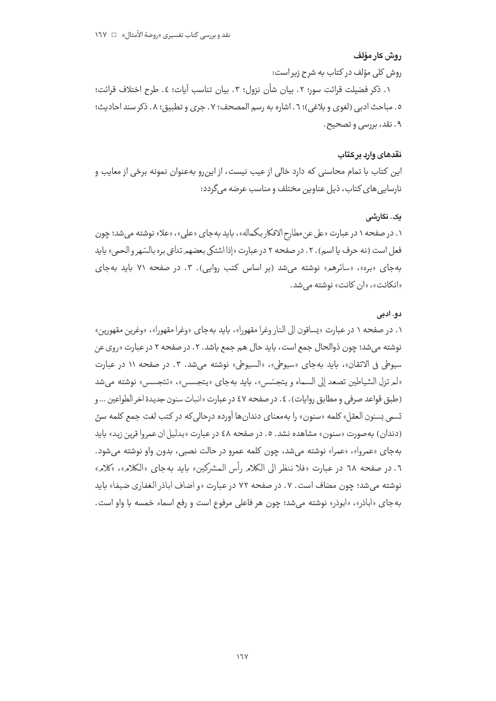## روش كار مؤلف

روش كلى مؤلف در كتاب به شرح زير است:

١. ذكر فضيلت قرائت سور؛ ٢. بيان شأن نزول؛ ٣. بيان تناسب آيات؛ ٤. طرح اختلاف قرائت؛ ٥. مباحث ادبي (لغوي و بلاغي)؛ ٦. اشاره به رسم المصحف؛ ٧. جرى و تطبيق؛ ٨. ذكر سند احاديث؛ ۹. نقد، بررسی و تصحیح.

#### نقدهاي وإرب بركتاب

این کتاب با تمام محاسنی که دارد خالی از عیب نیست، از اینرو بهعنوان نمونه برخی از معایب و نارسایی های کتاب، ذیل عناوین مختلف و مناسب عرضه می گردد:

## یک . نگارش*ے ,*

۱. در صفحه ۱ در عبارت «على عن مطارح الافكار بكماله» ، بايد به جاي «على» ، «علا» نوشته مي شد؛ چون فعل است (نه حرف یا اسم). ۲. در صفحه ۲ در عبارت «إذا اشتکی بعضهم تدلعی بره بالسّهر و الحمی» باید بهجای «بره»، «سائرهم» نوشته می شد (بر اساس کتب روایی). ۳. در صفحه ۷۱ باید بهجای «انكانت»، «ان كانت» نوشته مي شد.

## دو. ادبی

۱. در صفحه ۱ در عبارت «پساقون الی النار وغرا مقهورا»، باید بهجای «وغرا مقهورا»، «وغرین مقهورین» نوشته مي شد؛ چون ذوالحال جمع است، بايد حال هم جمع باشد. ٢. در صفحه ٢ در عبارت «روي عن سيوطى في الاتقان»، بايد بهجاى «سيوطى»، «السيوطى» نوشته مى شد. ٣. در صفحه ١١ در عبارت «لمرتزل الشياطين تصعد إلى السماء ويتجسّس»، بايد بهجاي «يتجسس»، «تتجسس» نوشته مي شد (طبق قواعد صرفي و مطابق روايات). ٤. در صفحه ٤٧ در عبارت «انبات سنون جديدة اخر الطواعين ... و تسمى بسنون العقل» كلمه «سنون» را بهمعناي دندانها آورده درحالي كه در كتب لغت جمع كلمه سرّ. (دندان) به صورت «سنون» مشاهده نشد. ٥. در صفحه ٤٨ در عبارت «بدليل ان عمروا قرين زيد» بايد بهجاي «عمروا»، «عمرا» نوشته مي شد، چون كلمه عمرو در حالت نصبي، بدون واو نوشته مي شود. ٦. در صفحه ٦٨ در عبارت «فلا ننظر الى الكلامر رأس المشركين» بايد به جاي «الكلام»، «كلام» نوشته مي شد؛ چون مضاف است. ٧. در صفحه ٧٢ در عبارت «و اضاف اباذر الغفاري ضيفا» بايد به جاي «اباذر»، «ابوذر» نوشته مي شد؛ چون هر فاعلي مرفوع است و رفع اسماء خمسه با واو است.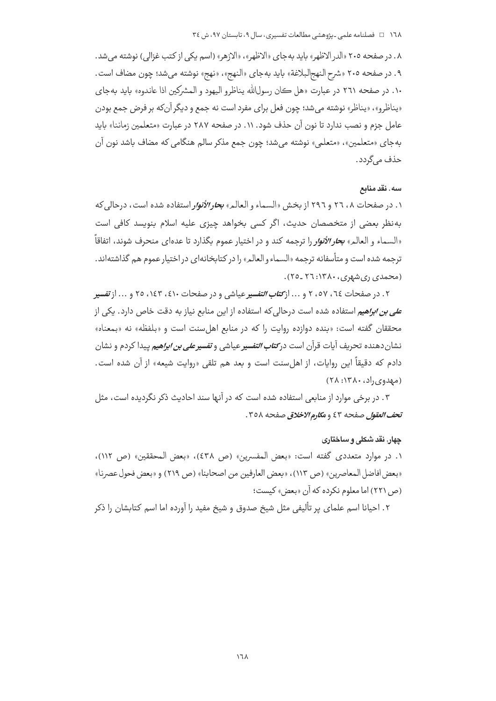۸. در صفحه ۲۰۵ «الدر الاظهر» باید به جای «الاظهر»، «الازهر» (اسم یکی از کتب غزالی) نوشته می شد. ۹ . در صفحه ۲۰۵ «شرح النهج|لبلاغة» بايد بهجاي «النهج»، «نهج» نوشته مي شد؛ چون مضاف است. ۱۰. در صفحه ۲٦۱ در عبارت «هل كان رسولالله يناظرو اليهود و المشركين اذا عاندوه» بايد بهجاي «پناظرو»، «پناظر» نوشته میشد؛ چون فعل برای مفرد است نه جمع و دیگر آنکه بر فرض جمع بودن عامل جزم و نصب ندارد تا نون آن حذف شود. ۱۱. در صفحه ۲۸۷ در عبارت «متعلمین زماننا» باید به جاي «متعلمين»، «متعلمي» نوشته مي شد؛ چون جمع مذكر سالم هنگامي كه مضاف باشد نون آن حذف مے گردد۔

### سه. نقد منابع

۱. در صفحات ۲۸، ۲۲ و ۲۹۲ از بخش «السماء و العالم» *بحار الأنوار* استفاده شده است، درحالي كه به نظر بعضی از متخصصان حدیث، اگر کسی بخواهد چیزی علیه اسلام بنویسد کافی است «السماء و العالم» **ب***حار الأنوار* **را** ترجمه كند و در اختيار عموم بگذارد تا عده|ى منحرف شوند، اتفاقاً ترجمه شده است و متأسفانه ترجمه «السماء و العالم» را در کتابخانهای در اختیار عموم هم گذاشتهاند. (محمدی ری شهری، ۱۳۸۰: ۲۲ \_۲۵).

۲. در صفحات ۲، ۲، ۲، ۲ و … از *کتاب التفسیر* عیاشی و در صفحات ۱٤، ۲، ۲۵ و … از *تفسی*ر *علی بن ابراهیم* استفاده شده است درحالی که استفاده از این منابع نیاز به دقت خاص دارد. یکی از محققان گفته است: «بنده دوازده روایت را که در منابع اهلسنت است و «بلفظه» نه «بمعناه» نشان دهنده تحريف آيات قرآن است در*كتاب التفسي*ر عياشي و *تفسير علي بن ابراهيم* ييدا كردم و نشان دادم كه دقيقاً اين روايات، از اهلسنت است و بعد هم تلقى «روايت شيعه» از آن شده است.  $(7\lambda:17\lambda\cdot\ldots),$ (مهدوی)

۰۳ در برخی موارد از منابعی استفاده شده است که در آنها سند احادیث ذکر نگردیده است، مثل تحف العقول صفحه ٤٣ و مكارم الاخلاق صفحه ٣٥٨.

### چهار. نقد شکلی و ساختاری

١. در موارد متعددي گفته است: «بعض المفسرين» (ص ٤٣٨)، «بعض المحققين» (ص ١١٢)، «بعض افاضل المعاصرين» (ص ١١٣)، «بعض العارفين من اصحابنا» (ص ٢١٩) و «بعض فحول عصرنا» (ص ٢٢١) اما معلوم نكرده كه آن «بعض» كيست؛

٢. احیانا اسم علمای پر تألیفی مثل شیخ صدوق و شیخ مفید را آورده اما اسم کتابشان را ذکر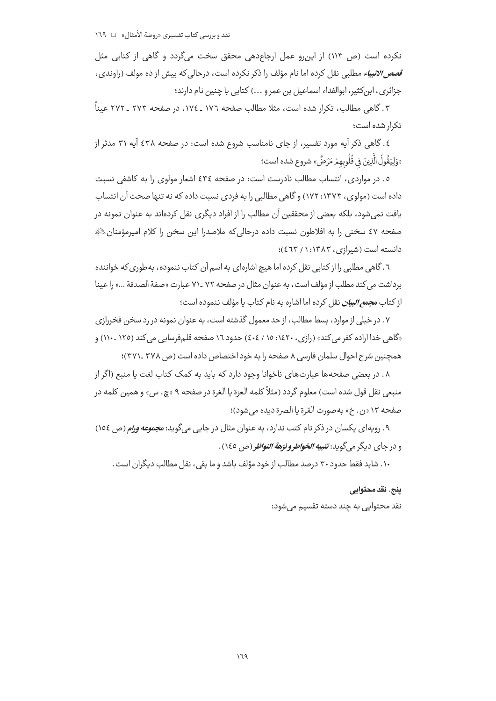نکرده است (ص ١١٣) از اين رو عمل ارجاعدهى محقق سخت مى گردد و گاهى از کتابى مثل *قصص الانبیاء* مطلبی نقل کرده اما نام مؤلف را ذکر نکرده است، درحالی که بیش از ده مولف (راوندی، جزائري، ابن كثير، ابوالفداء اسماعيل بن عمر و ...) كتابي با چنين نام دارند؛

۳. گاهی مطالب، تکرار شده است، مثلا مطالب صفحه ۱۷۲ ـ ۱۷۶، در صفحه ۲۷۳ ـ ۲۷۲ عیناً تکرار شده است؛

٤. گاهي ذکر آيه مورد تفسير، از جاي نامناسب شروع شده است: در صفحه ٤٣٨ آيه ٣١ مدثر از «وَلِيَقُولَ الَّذِينَ فِي قُلُوبِهِمْ مَرَضٌ» شروع شده است؛

٥. در مواردي، انتساب مطالب نادرست است: در صفحه ٤٣٤ اشعار مولوي را به كاشفى نسبت داده است (مولوی، ۱۳۷۳: ۱۷۲) و گاهی مطالبی را به فردی نسبت داده که نه تنها صحت آن انتساب یافت نمی شود، بلکه بعضی از محققین آن مطالب را از افراد دیگری نقل کردهاند به عنوان نمونه در صفحه ٤٧ سخني را به افلاطون نسبت داده درحالي كه ملاصدرا اين سخن را كلام اميرمؤمنان ﷺ دانسته است (شیرازی، ۱۳۸۳: ۱/ ٤٦٣)؛

٦. گاهی مطلبی را از کتابی نقل کرده اما هیچ اشارهای به اسم آن کتاب ننموده، بهطوری که خواننده برداشت مى كند مطلب از مؤلف است، به عنوان مثال در صفحه ٧٢ ــ٧١ عبارت «صفة الصدقة ...» را عينا از کتاب م*جمع البیان* نقل کرده اما اشاره به نام کتاب یا مؤلف ننموده است؛

۰۷ در خیلی از موارد، بسط مطالب، از حد معمول گذشته است، به عنوان نمونه در رد سخن فخررازی «گاهی خدا اراده کفر می کند» (رازی، ۱۶۲۰: ۱۵ / ٤٠٤) حدود ١٦ صفحه قلمفرسایی می کند (١٢٥ ـ ١١٠) و همچنین شرح احوال سلمان فارسی ۸ صفحه را به خود اختصاص داده است (ص ۳۷۸ ـ۳۷۱)؛

٨. در بعضی صفحهها عبارتهای ناخوانا وجود دارد که باید به کمک کتاب لغت یا منبع (اگر از منبعي نقل قول شده است) معلوم گردد (مثلاً كلمه العزة يا الغرة در صفحه ۹ «چ. س» و همين كلمه در صفحه ١٣ «ن. خ» بهصورت القرة يا الصرة ديده مي شود)؛

۹. رویهای یکسان در ذکر نام کتب ندارد، به عنوان مثال در جایی میگوید: م*جموعه ورام* (ص ۱۵۶) و در جاي ديگر مي گويد: **تنبي***ه الخواطر و نزهة النواظ***ر** (ص ١٤٥).

۱۰. شاید فقط حدود ۳۰ درصد مطالب از خود مؤلف باشد و ما بقی، نقل مطالب دیگران است.

ينج. نقد محتوايي

نقد محتوایی به چند دسته تقسیم می شود: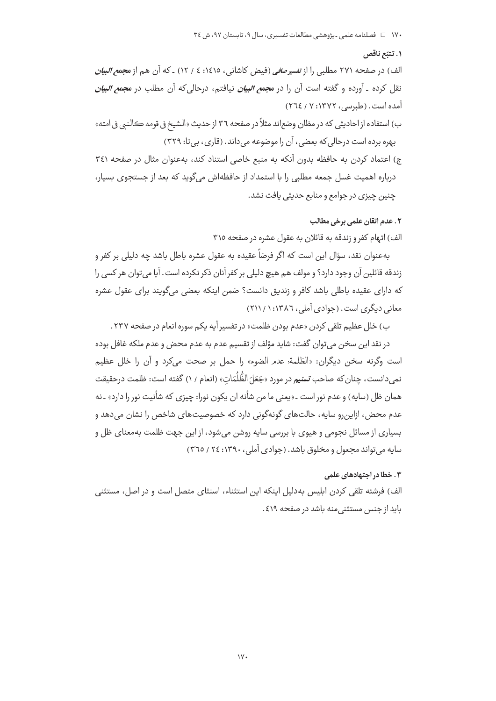#### ١. تتبّع ناقص

الف) در صفحه ۲۷۱ مطلبی را از تفسی*رصافی* (فیض کاشانی، ۱۶۱۵: ٤ / ۱۲) ـ که آن هم از م*جمع البیان* نقل کرده ـ آورده و گفته است آن را در م*جمع البیان* نیافتم، درحالی که آن مطلب در م*جمع البیان* آمده است. (طبرسی، ۱۳۷۲: ۷ / ۲٦٤)

ب) استفاده ازاحاديثي كه در مظان وضعاند مثلاً در صفحه ٣٦ از حديث «الشيخ في قومه كالنبي في امته» بهره برده است درحالی که بعضی، آن را موضوعه می داند. (قاری، بی تا: ۳۲۹)

ج) اعتماد كردن به حافظه بدون آنكه به منبع خاصى استناد كند، بهعنوان مثال در صفحه ٣٤١ درباره اهمیت غسل جمعه مطلبی را با استمداد از حافظهاش میگوید که بعد از جستجوی بسیار، چنین چیزی در جوامع و منابع حدیثی یافت نشد.

## ٢. عدم اتقان علمي برخي مطالب

الف) اتهام کفر و زندقه به قائلان به عقول عشره در صفحه ۳۱۵

بهعنوان نقد، سؤال این است که اگر فرضاً عقیده به عقول عشره باطل باشد چه دلیلی بر کفر و زندقه قائلین آن وجود دارد؟ و مولف هم هیچ دلیلی بر کفر آنان ذکر نکرده است . آیا میتوان هر کسی را كه داراي عقيده باطلي باشد كافر و زنديق دانست؟ ضمن اينكه بعضي ميگويند براي عقول عشره معانی دیگری است. (جوادی آملی، ۱۳۸۶: ۱/ ۲۱۱)

ب) خلل عظیم تلقی کردن «عدم بودن ظلمت» در تفسیر آیه یکم سوره انعام در صفحه ۲۳۷.

در نقد این سخن می توان گفت: شاید مؤلف از تقسیم عدم به عدم محض و عدم ملکه غافل بوده است وگرنه سخن ديگران: «الظلمة: عدم الضوء» را حمل بر صحت ميكرد و آن را خلل عظيم نمي دانست، چنان كه صاحب **تسني<sub>م</sub> در مورد «جَعَ**لَ الظُّلُمَات» (انعام / ۱) گفته است: ظلمت درحقيقت همان ظل (سایه) و عدم نور است ـ «یعنی ما من شأنه ان یکون نورا: چیزی که شأنیت نور را دارد» ـ نه عدم محض، ازاین٫رو سایه، حالتهای گونهگونی دارد که خصوصیتهای شاخص را نشان می٫دهد و بسیاری از مسائل نجومی و هیوی با بررسی سایه روشن می شود، از این جهت ظلمت به معنای ظل و سایه می تواند مجعول و مخلوق باشد. (جوادی آملی، ۱۳۹۰: ٢٤ / ٣٦٥)

### ۰۳ خطا در احتهادهای علمی

الف) فرشته تلقی کردن ابلیس بهدلیل اینکه این استثناء، اسنثای متصل است و در اصل، مستثنی باید از جنس مستثنی منه باشد در صفحه ٤١٩ .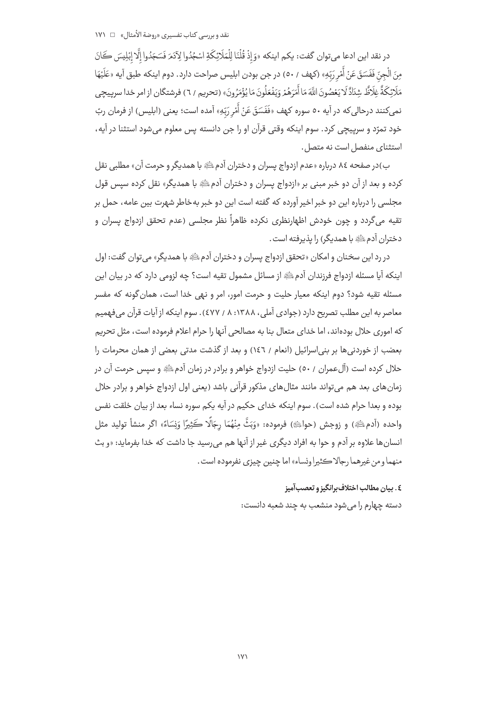در نقد اين ادعا مي توان گفت: يكم اينكه «وَ إِذْ قُلْنَا لِلْمَلَائِكَةِ اسْجُدُوا لِآدَمَ فَسَجَدُوا إِلَّا إِبْلِيسَ كَانَ مِنَ الْجِنّ فَفَسَقَ عَنْ أَمْرِ رَبّهِ» (كهف / ٥٠) در جن بودن ابليس صراحت دارد. دوم اينكه طبق آيه «عَلَيْهَا مَلَائِكَةٌ غِلَاظٌ شِنَادٌ لَا يَعْصُونَ اللَّهَ مَا أَمَرَهُمْ وَيَفْعَلُونَ مَا يُؤْمَرُونَ» (تحريم / ٦) فرشتگان از امر خدا سرپيچي نمیکنند درحالیکه در آیه ٥٠ سوره کهف «فَفَسَقَ عَنْ أَمْرِ رَبّهِ» آمده است؛ یعنی (ابلیس) از فرمان ربّ خود تمرّد و سرپیچی کرد. سوم اینکه وقتی قرآن او را جن دانسته پس معلوم میشود استثنا در آیه، استثنای منفصل است نه متصل.

ب)در صفحه ٨٤ درباره «عدم ازدواج يسران و دختران آدمﷺ با همديگر و حرمت آن» مطلبي نقل کرده و بعد از آن دو خبر مبنی بر «ازدواج پسران و دختران آدمﷺ با همدیگر» نقل کرده سیس قول مجلسی را درباره این دو خبر اخیر آورده که گفته است این دو خبر بهخاطر شهرت بین عامه، حمل بر تقیه می گردد و چون خودش اظهارنظری نکرده ظاهراً نظر مجلسی (عدم تحقق ازدواج پسران و دختران آدم ﷺ با همدیگر) را پذیرفته است.

در رد اين سخنان و امكان «تحقق ازدواج يسران و دختران آدم ﷺ با همديگر» مي توان گفت: اول اینکه آیا مسئله ازدواج فرزندان آدمﷺ از مسائل مشمول تقیه است؟ چه لزومی دارد که در بیان این مسئله تقیه شود؟ دوم اینکه معیار حلیت و حرمت امور، امر و نهی خدا است، همان گونه که مفسر معاصر به این مطلب تصریح دارد (جوادی آملی، ۱۳۸۸: ۸ / ٤٧٧). سوم اینکه از آیات قرآن می فهمیم كه اموري حلال بودهاند، اما خداي متعال بنا به مصالحي آنها را حرام اعلام فرموده است، مثل تحريم بعضب از خوردنی ها بر بنی اسرائیل (انعام / ١٤٦) و بعد از گذشت مدتی بعضی از همان محرمات را حلال کرده است (آلءمران / ٥٠) حلیت ازدواج خواهر و برادر در زمان آدمﷺ و سپس حرمت آن در زمانهای بعد هم می تواند مانند مثالهای مذکور قرآنی باشد (یعنی اول ازدواج خواهر و برادر حلال بوده و بعدا حرام شده است). سوم اینکه خدای حکیم در آیه یکم سوره نساء بعد از بیان خلقت نفس واحده (آدمﷺ) و زوجش (حواﷺ) فرموده: «وَبَثَّ مِنْهُمَا رِجَالًا كَثِيرًا وَنِسَاءً» اگر منشأ توليد مثل انسان ها علاوه بر آدم و حوا به افراد ديگري غير از آنها هم مي رسيد جا داشت كه خدا بفرمايد: «و بث منهما و من غيرهما رجالا ڪثيرا ونساء» اما چنين چيزي نفرموده است .

## ٤. بيان مطالب اختلاف برانگيز و تعصب آميز

دسته چهارم را می شود منشعب به چند شعبه دانست: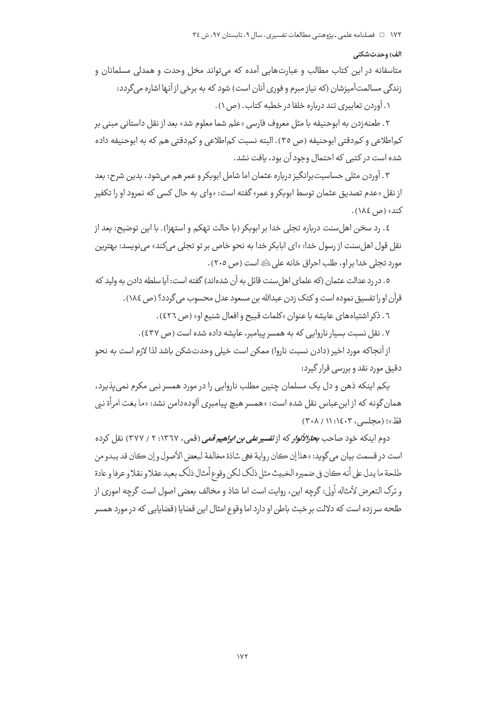#### الف) وحدتشكني

متاسفانه در این کتاب مطالب و عبارتهایی آمده که می تواند مخل وحدت و همدلی مسلمانان و زندگی مسالمتآمیزشان (که نیاز مبرم و فوری آنان است) شود که به برخی از آنها اشاره می گردد: ۱. آوردن تعاییری تند درباره خلفا در خطبه کتاب. (ص ۱).

۲. طعنه;دن به ابوحنیفه با مثل معروف فارسی «علم شما معلوم شد» بعد از نقل داستانی مبنی بر کماطلاعی و کم دقتی ابوحنیفه (ص ٣٥). البته نسبت کماطلاعی و کم دقتی هم که به ابوحنیفه داده شده است در کتبی که احتمال وجود آن بود، یافت نشد.

۳. آوردن مثلی حساسیتبرانگیز درباره عثمان اما شامل ابوبکر و عمر هم میشود، بدین شرح: بعد از نقل «عدم تصديق عثمان توسط ابوبكر و عمر» گفته است: «واي به حال كسي كه نمرود او را تكفير کند» (ص ١٨٤).

٤. رد سخن اهل سنت درباره تجلي خدا بر ابوبكر (با حالت تهكم و استهزا). با اين توضيح: بعد از نقل قول اهلسنت از رسول خدا: «اي ابابكر خدا به نحو خاص بر تو تجلي ميكند» مي نويسد: بهترين مورد تجلي خدا بر او، طلب احراق خانه على ﷺ است (ص ٢٠٥).

٥. در رد عدالت عثمان (كه علماي اهل سنت قائل به آن شدهاند) گفته است: آيا سلطه دادن به وليد كه قرآن او را تفسیق نموده است و کتک زدن عبدالله بن مسعود عدل محسوب می گردد؟ (ص ١٨٤).

٦. ذكر اشتباههاي عايشه با عنوان «كلمات قبيح و افعال شنيع او» (ص ٤٢٦).

۷. نقل نسبت بسیار ناروایی که به همسر پیامبر، عایشه داده شده است (ص ٤٣٧).

از آنجاکه مورد اخیر (دادن نسبت ناروا) ممکن است خیلی وحدتشکن باشد لذا لازم است به نحو دقیق مورد نقد و بررسی قرار گیرد:

یکم اینکه ذهن و دل یک مسلمان چنین مطلب ناروایی را در مورد همسر نبی مکرم نمی یذیرد، همان گونه که از ابن عباس نقل شده است: «همسر هیچ پیامبری آلودهدامن نشد: «ما بغت امرأة نبی قطّ»؛ (محلسی، ۱۶۰۳، ۲۰۸/ ۳۰۸)

دوم اینکه خود صاحب *بحارالأنوار* که از *تفسیر علی بن ابراهیم قمی* (قمی، ۱۳٦۷: ۲ / ۳۷۷) نقل کرده است در قسمت بيان مي گويد: «هذا إن كان رواية فهي شاذة مخالفة لبعض الأصول و إن كان قد يبدو من طلحة ما يدل على أنه كان في ضميره الخبيث مثل ذلك لكن وقوع أمثال ذلك بعيد عقلاو نقلاو عرفا و عادة و ترک التعرض لأمثاله أولى: گرچه اين، روايت است اما شاذ و مخالف بعضى اصول است گرچه امورى از طلحه سر زده است که دلالت بر خبث باطن او دارد اما وقوع امثال این قضایا (قضایایی که در مورد همسر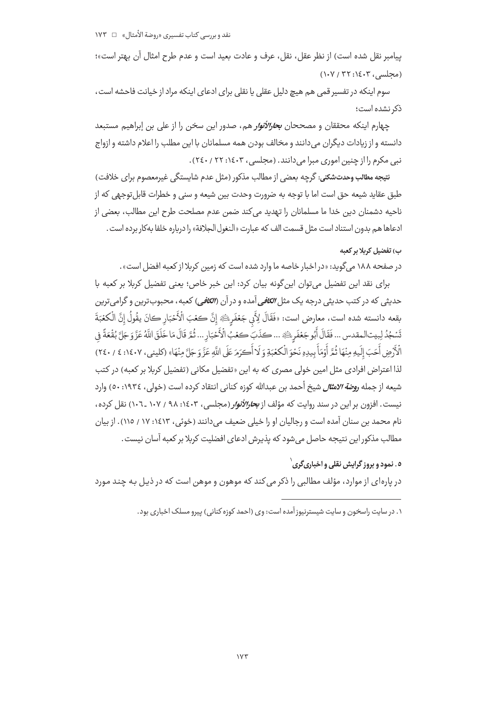پیامبر نقل شده است) از نظر عقل، نقل، عرف و عادت بعید است و عدم طرح امثال آن بهتر است»؛ (محلسی، ۱٤٠٣: ١٠٧/ ١٠٧)

سوم اینکه در تفسیر قمی هم هیچ دلیل عقلی یا نقلی برای ادعای اینکه مراد از خیانت فاحشه است، ذک نشده است؛

چهارم اینکه محققان و مصححان *بحارالأنوار* هم، صدور این سخن را از علی بن إبراهیم مستبعد دانسته و از زیادات دیگران می دانند و مخالف بودن همه مسلمانان با این مطلب را اعلام داشته و ازواج نبي مكرم را از چنين اموري مبرا مي دانند. (مجلسي، ١٤٠٣: ٢٢، ٢٤٠).

نتيجه مطالب وحدتشكني: گرچه بعضي از مطالب مذكور (مثل عدم شايستگي غيرمعصوم براي خلافت) طبق عقايد شيعه حق است اما با توجه به ضرورت وحدت بين شيعه و سنى و خطرات قابلتوجهى كه از ناحیه دشمنان دین خدا ما مسلمانان را تهدید می کند ضمن عدم مصلحت طرح این مطالب، بعضی از ادعاها هم بدون استناد است مثل قسمت الف كه عبارت «النغول الجلافة» را درباره خلفا بهكار برده است .

## ب) تفضیل کربلا پر کعبه

در صفحه ۱۸۸ می گوید: «در اخبار خاصه ما وارد شده است که زمین کربلا از کعبه افضل است» .

برای نقد این تفضیل میتوان این گونه بیان کرد: این خبر خاص؛ یعنی تفضیل کربلا بر کعبه با حديثي كه در كتب حديثي درجه يک مثل *الكافي* آمده و در آن (*الكافي*) كعبه ، محبوبترين و گرامي ترين بقعه دانسته شده است، معارض است: «فَقَالَ لِأَبِي جَعْفَرِيكَ» إِنَّ كعْبَ الْأَحْبَارِ كانَ يقُولُ إِنَّ الْكعْبَةَ تَسْجُدُ لِبيت المقدس ... فَقَالَ أَبُو جَعْفَرِيَّةِ ... كذَبَ كعُبُ الْأَحْبَارِ ... ثُمَّ قَالَ مَا خَلَقَ اللّهُ عَزَّوَ جَلَّ بُقْعَةً فِي الْأَرْضِ أَحَبَ إِلَيهِ مِنْهَا ثُمَّ أَوْمَأَ بِيدِهِ نَحْوَ الْكِعْبَةِ وَ لَا أُكِرَمَ عَلَى اللّهِ عَزَّ وَ جَلَّ مِنْهَا» (كليني، ١٤٠٧: ٤ / ٢٤٠) لذا اعتراض افرادی مثل امین خولی مصری که به این «تفضیل مکانی (تفضیل کربلا بر کعبه) در کتب شيعه از جمله *روضة الامثال* شيخ أحمد بن عبدالله كوزه كناني انتقاد كرده است (خولي، ١٩٣٤: ٥٠) وارد نیست. افزون بر این در سند روایت که مؤلف از *بحارالأنوار* (مجلسی، ۱۰۶۰: ۹۸ / ۱۰۷ ـ ۱۰۷) نقل کرده، نام محمد بن سنان آمده است و رجالیان او را خیلی ضعیف میدانند (خوئی، ۱۶۱۳: ۱۷ / ۱۱۵). از بیان مطالب مذکور این نتیجه حاصل می شود که پذیرش ادعای افضلیت کربلا بر کعبه آسان نیست.

## ه . نمود و پروز گرايش نقلي و اخباري گري <sup>۱</sup>

در یارهای از موارد، مؤلف مطالبی را ذکر می کند که موهون و موهن است که در ذیل به چند مورد

۱. در سایت راسخون و سایت شیسترنیوز آمده است: وی (احمد کوزه کنانی) پیرو مسلک اخباری بود.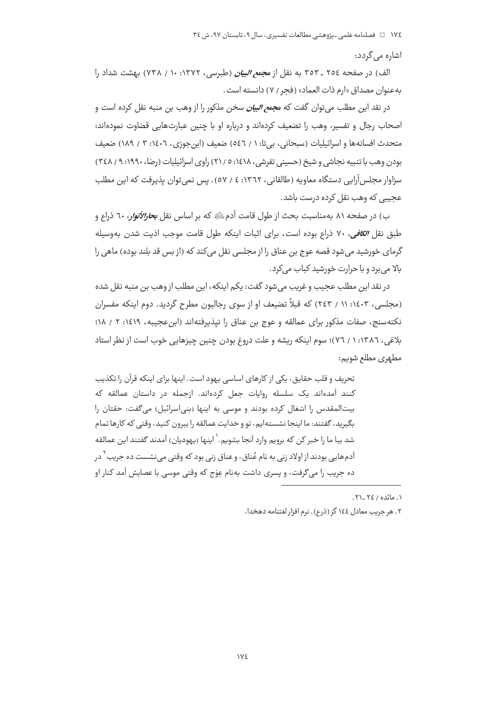اشارہ مے گردد:

الف) در صفحه ٢٥٤ ـ ٣٥٣ به نقل از م*جمع البيان* (طبرسي، ١٣٧٢: ١٠ / ٧٣٨) بهشت شداد را به عنوان مصداق «ارم ذات العماد» (فجر / ٧) دانسته است.

در نقد این مطلب می توان گفت که م*جمع البیان* سخن مذکور را از وهب بن منبه نقل کرده است و اصحاب رجال و تفسیر، وهب را تضعیف کردهاند و درباره او با چنین عبارتهایی قضاوت نمودهاند: متحدث افسانه ها و اسرائیلیات (سبحانی، بی تا: ۱ / ٥٤٦) ضعیف (این جوزی، ١٤٠٦: ٣ / ١٨٩) ضعیف بودن وهب با تنبیه نجاشی و شیخ (حسینی تفرشی، ۱٤١٨: ٥ / ٢١) راوی اسرائیلیات (رضا، ١٩٩٠: ٩ / ٣٤٨) سزاوار مجلس آرایی دستگاه معاویه (طالقانی، ۱۳٦۲: ٤ / ٥٧). پس نمی توان پذیرفت که این مطلب عجیبی که وهب نقل کرده درست باشد.

ب) در صفحه ۸۱ بهمناسبت بحث از طول قامت آدمﷺ که بر اساس نقل *بحارالأنوا*ر، ٦٠ ذراع و طبق نقل ال*کافی*، ۷۰ ذراع بوده است، برای اثبات اینکه طول قامت موجب اذیت شدن بهوسیله گرمای خورشید می شود قصه عوج بن عناق را از مجلسی نقل می کند که (از بس قد بلند بوده) ماهی را بالا می برد و با حرارت خورشید کباب می کرد.

در نقد اين مطلب عجيب و غريب مي شود گفت: يكم اينكه ، اين مطلب از وهب بن منبه نقل شده (مجلسی، ۱٤٠٣: ۱۱ / ٢٤٣) که قبلاً تضیعف او از سوی رجالیون مطرح گردید. دوم اینکه مفسران نكتهسنج، صفات مذكور براى عمالقه و عوج بن عناق را نيذيرفته اند (ابن عجيبه، ١٤١٩: ٢ / ١٨؛ بلاغی، ۱۳۸۲: ۱ / ۷۲)؛ سوم اینکه ریشه و علت دروغ بودن چنین چیزهایی خوب است از نظر استاد مطهري مطلع شويم:

تحریف و قلب حقایق، یکی از کارهای اساسی پهود است. اینها برای اینکه قرآن را تکذیب کنند آمدهاند یک سلسله روایات جعل کردهاند. ازجمله در داستان عمالقه که بیتالمقدس را اشغال کرده بودند و موسی به اینها (بنی|سرائیل) می گفت: حقتان را بگیرید، گفتند: ما اینجا نشستهایم، تو و خدایت عمالقه را بیرون کنید، وقتی که کارها تمام شد بيا ما را خبر كن كه برويم وارد آنجا بشويم.` اينها (يهوديان) آمدند گفتند اين عمالقه آدمهایی بودند از اولاد زنی به نام عُناق، و عناق زنی بود که وقتی می نشست ده جریب <sup>۲</sup> در ده جریب را می گرفت، و پسری داشت بهنام عِوَج که وقتی موسی با عصایش آمد کنار او

١. مائده / ٢٤ -٢١.

۲. هر حربب معادل ١٤٤ گز (ذرع). نرم افزار لغتنامه دهخدا.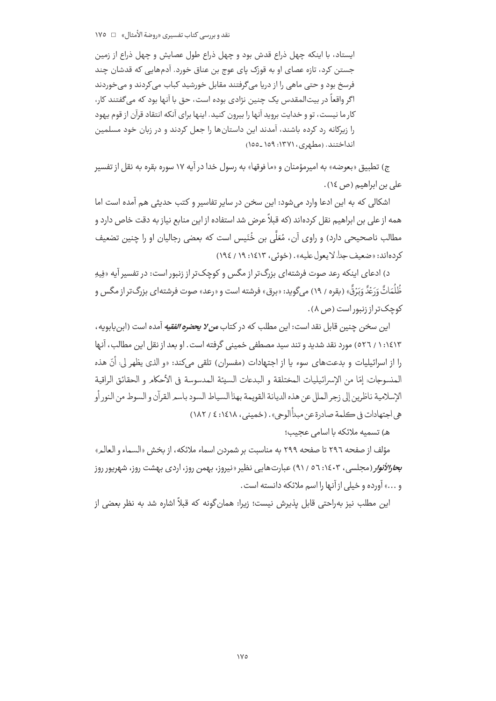ایستاد، با اینکه چهل ذراع قدش بود و چهل ذراع طول عصایش و چهل ذراع از زمین جستن کرد، تازه عصای او به قوزک پای عوج بن عناق خورد. آدمهایی که قدشان چند فرسخ بود و حتی ماهی را از دریا میگرفتند مقابل خورشید کباب می کردند و میخوردند اگر واقعاً در بیتالمقدس یک چنین نژادی بوده است، حق با آنها بود که میگفتند کار، کار ما نیست، تو و خدایت بروید آنها را بیرون کنید. اینها برای آنکه انتقاد قرآن از قوم پهود را زیرکانه رد کرده باشند، آمدند این داستانها را جعل کردند و در زبان خود مسلمین انداختند. (مطهری، ۱۳۷۱: ۱۵۹\_۱۵۵)

ج) تطبیق «بعوضه» به امیرمؤمنان و «ما فوقها» به رسول خدا در آیه ۱۷ سوره بقره به نقل از تفسیر علی بن ابراهیم (ص ١٤).

اشکالی که به این ادعا وارد می شود: این سخن در سایر تفاسیر و کتب حدیثی هم آمده است اما همه از علی بن ابراهیم نقل کردهاند (که قبلاً عرض شد استفاده از این منابع نیاز به دقت خاص دارد و مطالب ناصحیحی دارد) و راوی آن، مُعَلَّى بن خُنَیس است که بعضی رجالیان او را چنین تضعیف كردهاند: «ضعيف جدا، لا يعول عليه». (خوئي، ١٤١٣: ١٩ / ١٩٤)

د) ادعای اینکه رعد صوت فرشتهای بزرگ تر از مگس و کوچک تر از زنبور است: در تفسیر آیه «فِیهِ ظُلُمَاتٌ وَرَعْدٌ وَبَرْقٌ» (بقره / ١٩) می گوید: «برق» فرشته است و «رعد» صوت فرشته|ی بزرگ تر از مگس و کوحک تر از زنیور است (ص ۸).

اين سخن چنين قابل نقد است: اين مطلب كه در كتاب *من لا يحضره الفقيه* آمده است (ابن بابويه ، ١٤١٣: ١ / ٥٢٦) مورد نقد شديد و تند سيد مصطفى خميني گرفته است . او بعد از نقل اين مطالب، آنها را از اسرائيليات و بدعتهاي سوء يا از اجتهادات (مفسران) تلقى مى كند: «و الذي يظهر لي: أنّ هذه المنسوجات: إمّا من الإسرائيليات المختلقة و البدعات السيئة المدسوسة في الأحكام و الحقائق الراقية الإسلامية ناظرين إلى زجر الملل عن هذه الديانة القويمة بهذا السياط السود باسمر القرآن و السوط من النور أو هي اجتهادات في ڪلمة صادرة عن مبدأ الوحي» . (خميني ، ١٤١٨: ٤ / ١٨٢)

هـ) تسميه ملائكه با اسامى عجيب؛

مؤلف از صفحه ٢٩٦ تا صفحه ٢٩٩ به مناسبت بر شمردن اسماء ملائكه، از بخش «السماء و العالم» ب*حارالأنوار* (مجلسی، ۱٤٠٣: ٥٦ / ٩١) عبارتهایی نظیر «نیروز، بهمن روز، اردی بهشت روز، شهریور روز و ...» آورده و خیلی از آنها را اسم ملائکه دانسته است.

این مطلب نیز بهراحتی قابل پذیرش نیست؛ زیرا: همان گونه که قبلاً اشاره شد به نظر بعضی از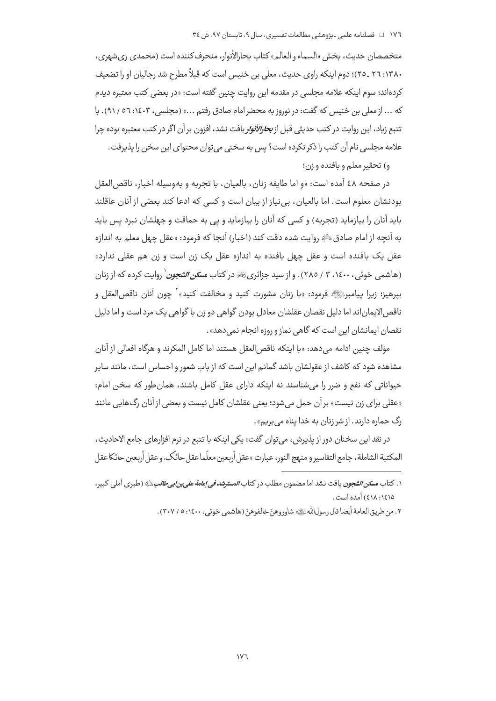متخصصان حدیث، بخش «السماء و العالم» کتاب بحارالأنوار، منحرف کننده است (محمدی ری شهری، ۲۸۰: ۲۲ \_۲۵)؛ دوم اینکه راوی حدیث، معلی بن خنیس است که قبلاً مطرح شد رجالیان او را تضعیف كردهاند؛ سوم اينكه علامه مجلسي در مقدمه اين روايت چنين گفته است: «در بعضي كتب معتبره ديدم كه ... از معلى بن خنيس كه گفت: در نوروز به محضر امام صادق رفتم ...» (مجلسى، ١٤٠٣: ٥٦ / ٩١). با تتبع زياد، اين روايت در كتب حديثي قبل از *بحارالأنوار* يافت نشد، افزون بر آن اگر در كتب معتبره بوده چرا علامه مجلسی نام آن کتب را ذکر نکرده است؟ پس به سختی میتوان محتوای این سخن را پذیرفت.

و) تحقير معلم و بافنده و زن؛

در صفحه ٤٨ آمده است: «و اما طايفه زنان، بالعيان، با تجربه و بهوسيله اخبار، ناقص العقل بودنشان معلوم است. اما بالعیان، بی نیاز از بیان است و کسی که ادعا کند بعضی از آنان عاقلند باید آنان را بیازماید (تجربه) و کسی که آنان را بیازماید و پی به حماقت و جهلشان نبرد پس باید به آنچه از امام صادقﷺ روايت شده دقت كند (اخبار) آنجا كه فرمود: «عقل چهل معلم به اندازه عقل یک بافنده است و عقل چهل بافنده به اندازه عقل یک زن است و زن هم عقلی ندارد» (هاشمی خوئی، ۱٤٠٠، ۳ / ٢٨٥). و از سید جزائریﷺ در کتاب *مسکن الشجون`* روایت کرده که از زنان بيرهيز؛ زيرا بيامبرﷺ فرمود: «با زنان مشورت كنيد و مخالفت كنيد»<sup>٢</sup> چون آنان ناقص|لعقل و ناقص الایماناند اما دلیل نقصان عقلشان معادل بودن گواهی دو زن با گواهی یک مرد است و اما دلیل نقصان ایمانشان این است که گاهی نماز و روزه انجام نمی دهد» .

مؤلف چنین ادامه میدهد: «با اینکه ناقص|لعقل هستند اما کامل المکرند و هرگاه افعالی از آنان مشاهده شود که کاشف از عقولشان باشد گمانم این است که از باب شعور و احساس است، مانند سایر حیواناتی که نفع و ضرر را میشناسند نه اینکه دارای عقل کامل باشند، همان طور که سخن امام: «عقلي براي زن نيست» بر آن حمل مي شود؛ يعني عقلشان كامل نيست و بعضي از آنان رگ@ايي مانند رگ حماره دارند. از شر زنان به خدا یناه می بریم».

در نقد اين سخنان دور از پذيرش، مي توان گفت: يكي اينكه با تتبع در نرم افزارهاي جامع الاحاديث، المكتبة الشاملة، جامع التفاسير و منهج النور، عبارت «عقل أربعين معلّماعقل حائك، و عقل أربعين حائكا عقل

٢ . من طريق العامة أيضا قال رسولاللهﷺ شاوروهنّ خالفوهنّ (هاشمي خوئي ، ١٤٠٠ : ٥ / ٣٠٧) .

۱. کتاب مس*کن الشجون* یافت نشد اما مضمون مطلب در کتاب *المسترشد فی اِمامة علی بن ابی طالب ﷺ (*طبری آملی کبیر، ١٤١٥: ٤١٨) آمده است.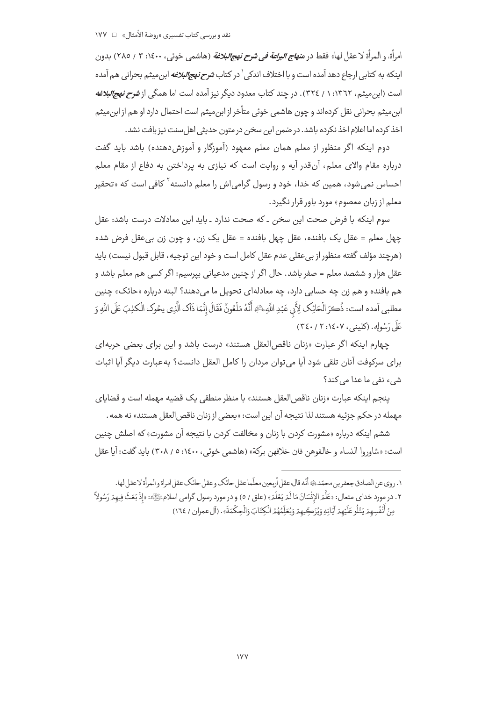امرأة، و المرأة لا عقل لها» فقط در م*نهاج البراعة في شرح نهج البلاغة* (هاشمي خوئي، ١٤٠٠: ٣ / ٢٨٥) بدون اینکه به کتابی ارجاع دهد آمده است و با اختلاف اندکی <sup>۱</sup> در کتاب *شرح نهجالبلاغه* ابن میثم بحرانی هم آمده است (ابن میثم، ۱۳٦۲: ۱ / ۳۲٤). در چند کتاب معدود دیگر نیز آمده است اما همگی از *شرح نهجالبلاغه* ابن،میثم بحرانی نقل کردهاند و چون هاشمی خوئی متأخر از ابن،میثم است احتمال دارد او هم از ابن،میثم اخذ کرده اما اعلام اخذ نکرده باشد. در ضمن این سخن در متون حدیثی اهل سنت نیز یافت نشد.

دوم اینکه اگر منظور از معلم همان معلم معهود (آموزگار و آموزش دهنده) باشد باید گفت درباره مقام والای معلم، آنقدر آیه و روایت است که نیازی به پرداختن به دفاع از مقام معلم احساس نمی شود، همین که خدا، خود و رسول گرامی اش را معلم دانسته<sup>۲</sup> کافی است که «تحقیر معلم از زبان معصوم» مورد باور قرار نگیرد.

سوم اینکه با فرض صحت این سخن ـ که صحت ندارد ـ باید این معادلات درست باشد: عقل چهل معلم = عقل يک بافنده، عقل چهل بافنده = عقل يک زن، و چون زن بيءقل فرض شده (هرچند مؤلف گفته منظور از بی عقلی عدم عقل کامل است و خود این توجیه، قابل قبول نیست) باید عقل هزار و ششصد معلم = صفر باشد. حال اگر از چنین مدعیانی بیرسیم: اگر کسی هم معلم باشد و هم بافنده و هم زن چه حسابي دارد، چه معادلهاي تحويل ما مي(دهند؟ البته درباره «حائک» چنين مطلبي آمده است: ذُكرَ الْحَائِكِ لِأَبِي عَبْدِ اللَّهِ ﷺ أَنَّهُ مَلْعُونٌ فَقَالَ إِنَّمَا ذَاكِ الَّذِي يحُوك الْكذِبَ عَلَى اللَّهِ وَ عَلَى دَسُولِهِ. (كلينبر، ٢٠٤٠٧: ٣٤٠)

چهارم اینکه اگر عبارت «زنان ناقص العقل هستند» درست باشد و این برای بعضی حربه ای براي سركوفت آنان تلقى شود آيا مي توان مردان را كامل العقل دانست؟ به عبارت ديگر آيا اثبات شيء نفي ما عدا مي كند؟

ينجم اينكه عبارت «زنان ناقصالعقل هستند» با منظر منطقى يك قضيه مهمله است و قضاياى مهمله در حکم جزئیه هستند لذا نتیجه آن این است: «بعضی از زنان ناقص العقل هستند» نه همه .

ششم اینکه درباره «مشورت کردن با زنان و مخالفت کردن با نتیجه آن مشورت» که اصلش چنین است: «شاوروا النساء و خالفوهن فان خلافهن بركة» (هاشمي خوئي، ١٤٠٠: ٥ / ٣٠٨) بايد گفت: آيا عقل

١. روى عن الصادق جعفر بن محمّد؛ ۞ أنّه قال: عقل أربعين معلّماعقل حائك وعقل حائك عقل امراة و المرأة لاعقل لها. ٢ . در مورد خداي متعال: «عَلَّمَ الإِنْسَانَ مَا لَمْ يَعْلَمْ» (علق / ٥) و در مورد رسول گرامي اسلام ﷺ: «إذْ بَعَثَ فِيهمْ رَسُولاً ۖ مِنْ أَنْفُسِهِمْ يَتْلُو عَلَيْهِمْ آيَاتِهِ وَيُزَكِّيهِمْ وَيُعَلِّمُهُمُ الْكِتَابَ وَالْحِكْمَةَ». (آل عمران / ١٦٤)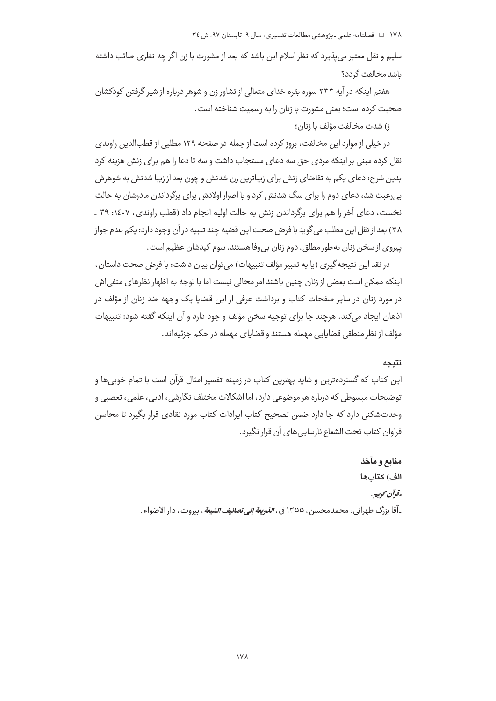۱۷۸ □ فصلنامه علمی ـ یژوهشی مطالعات تفسیری، سال ۹، تابستان ۹۷، ش ٣٤

سلیم و نقل معتبر می،پذیرد که نظر اسلام این باشد که بعد از مشورت با زن اگر چه نظری صائب داشته ىاشد مخالفت گردد؟

هفتم اینکه در آیه ۲۳۳ سوره بقره خدای متعالی از تشاور زن و شوهر درباره از شیر گرفتن کودکشان صحبت كرده است؛ يعني مشورت با زنان را به رسميت شناخته است.

ز) شدت مخالفت مؤلف يا زنان؛

در خیلی از موارد این مخالفت، بروز کرده است از جمله در صفحه ۱۲۹ مطلبی از قطبالدین راوندی نقل کرده مبنی بر اینکه مردی حق سه دعای مستجاب داشت و سه تا دعا را هم برای زنش هزینه کرد بدین شرح: دعای یکم به تقاضای زنش برای زیباترین زن شدنش و چون بعد از زیبا شدنش به شوهرش بی رغبت شد، دعای دوم را برای سگ شدنش کرد و با اصرار اولادش برای برگرداندن مادرشان به حالت نخست، دعای آخر را هم برای برگرداندن زنش به حالت اولیه انجام داد (قطب راوندی، ۱٤٠٧: ۳۹ ـ ٣٨) بعد از نقل اين مطلب مي گويد با فرض صحت اين قضيه چند تنبيه در آن وجود دارد: يكم عدم جواز ييروي از سخن زنان به طور مطلق . دوم زنان بي وفا هستند . سوم كيدشان عظيم است .

در نقد این نتیجه گیری (یا به تعبیر مؤلف تنبیهات) میتوان بیان داشت: با فرض صحت داستان، اینکه ممکن است بعضی از زنان چنین باشند امر محالی نیست اما با توجه به اظهار نظرهای منفی اش در مورد زنان در سایر صفحات کتاب و برداشت عرفی از این قضایا یک وجهه ضد زنان از مؤلف در اذهان ایجاد می کند. هرچند جا برای توجیه سخن مؤلف و جود دارد و آن اینکه گفته شود: تنبیهات مؤلف از نظر منطقی قضایایی مهمله هستند و قضایای مهمله در حکم جزئیهاند.

### نتىحە

این کتاب که گستردهترین و شاید بهترین کتاب در زمینه تفسیر امثال قرآن است با تمام خوبی ها و توضیحات مبسوطی که درباره هر موضوعی دارد، اما اشکالات مختلف نگارشی، ادبی، علمی، تعصبی و وحدتشکنی دارد که جا دارد ضمن تصحیح کتاب ایرادات کتاب مورد نقادی قرار بگیرد تا محاسن فراوان كتاب تحت الشعاع نارسايي هاي آن قرار نگيرد.

> منابع و مآخذ الف) كتابها -قوآن كوبيهن ۔آقا بزرگ طهرانی ، محمدمحسن ، ١٣٥٥ ق ، *الذر<del>يع</del>ة إلى تصانيف الشيعة* ، بيروت ، دار الاصواء .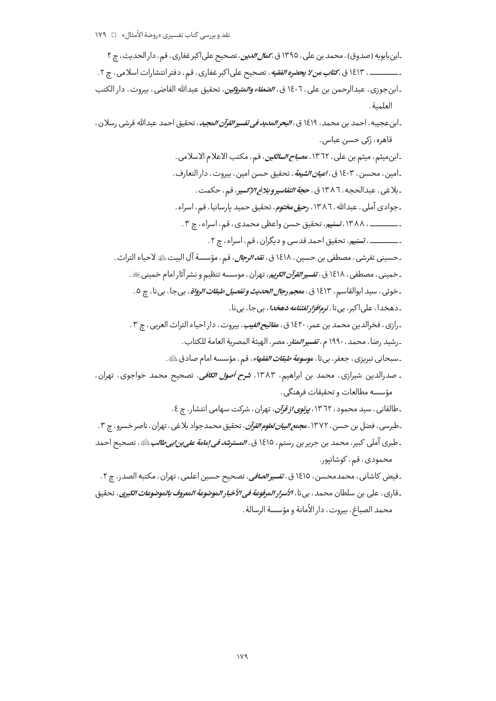۔ابنبابویه (صدوق)، محمد بن علی، ١٣٩٥ ق، *کم<i>ال الدین*، تصحیح علی اکبر غفاری، قم، دار الحدیث، چ ٢ ــــــــــــــ ، ١٤١٣ ق ، *كتاب من لا يحضو الفقيه* ، تصحيح على اكبر غفاري ، قم ، دفتر انتشارات اسلامي ، چ ٢ . ـ ابن جوزي ، عبدالرحمن بن علي ، ١٤٠٦ ق *، الضغاء والمتروكين* ، تحقيق عبدالله القاضي ، بيروت ، دار الكتب العلمية.

ـ ابن عجيبه ، احمد بن محمد ، ١٤١٩ ق ، *البحر المديد في تفسير القرآن المجيد* ، تحقيق احمد عبدالله قرشي رسلان ، قاهره، زکی حسن عباس.

ـابنِ ميثم ، ميثم بن علي ، ١٣٦٢ ، م*صباح السالكين*، قم ، مكتب الاعلام الاسلامي . ـ امين ، محسن ، ١٤٠٣ ق ، *اعيان الشيعة* ، تحقيق حسن امين ، بيروت ، دار التعارف . ـ بلاغي ، عبدالحجه ، ١٣٨٦ ق ، ح*جة التفاسير و بلاغ الإنسير* ، قم ، حكمت . ـ جوادي آملي ، عبدالله ، ١٣٨٦ ، رحي*ق مختوم* ، تحقيق حميد بارسانيا ، قم ، اسراء . ـــــــــــــ ، ١٣٨٨، تسنيم، تحقيق حسن واعظى محمدي، قم، اسراء، چ ٣. ـ ـــــــــــــ ، *تسنيم*، تحقيق احمد قدسي و ديگران ، قم ، اسراء ، چ ۲ . ـ حسيني تفرشي ، مصطفى بن حسين ، ١٤١٨ ق ، *نقد الرجال* ، قم ، مؤسسة آل البيت ﷺ لاحياء التراث .

ـخمینی ، مصطفی ، ۱۶۱۸ ق ، *تفسیر القرآن الکریم*، تهران ، موسسه تنظیم و نشر آثار امام خمینیﷺ. ۔خوئی ، سی*د* ابوالقاسم ، ۱۶۱۳ ق ، م<del>عجم رج*ال الحدیث و تفصیل طبقات الرواۃ* ، بی جا ، بی نا ، چ ٥ .</del> ـ دهخدا، علي|کېږ، يې تا، *نږمافزار لغتنامه دهخدا*، يې جا، يې نا.

۔ <sub>د</sub>ازی ، فخرالدین محمد بن عمر ، ۱۶۲۰ ق ، *مفاتیح الغیب* ، بیروت ، دار احیاء التراث العربی ، چ ۳ .

ـ رشيد رضا، محمد، ١٩٩٠ م، تفسير *المناو*، مصر، الهيئة المصرية العامة للكتاب.

ـ سبحاني تبريزي ، جعفر، بي¤ا ، *موسوعة طبقات الفقهاء* ، قم ، مؤسسه امام صادق ﷺ.

ـ صدرالدین شیرازی، محمد بن ابراهیم، ۱۳۸۳، *شرح أصول الکافی*، تصحیح محمد خواجوی، تهران، مؤسسه مطالعات و تحقىقات فرهنگى .

۔طالقانی، سی*د* محمود، ۱۳٦۲، *یرتوی از قرآن*، تهران، شرکت سهامی انتشار، ج ٤.

۔طبرسی ، فضل بن حسن ، ۱۳۷۲ ، م*جمع البیان لعلوم القرآن* ، تحقیق محمد جواد بلاغی ، تهران ، ناصر خسرو ، چ ۳ .

ـ طبري آملي كبير، محمد بن جرير بن رستم، ١٤١٥ ق، *المسترشد في إمامة علي بن ابي طالب عليه*، تصحيح احمد محمودي، قم، كوشانيور.

۔فیض کاشانی ، محمدمحسن ، ١٤١٥ ق ، *تفسیر الصافی* ، تصحیح حسین اعلمی ، تهران ، مکتبه الصدر ، چ ٢ . ـ قارى ، على بن سلطان محمد ، بى تا ، *الأسرار الموفوعة فى الأخبار الموضوعة المعروف بالموضوعات الكبرى* ، تحقيق محمد الصباغ، بيروت، دار الأمانة و مؤسسة الرسالة.